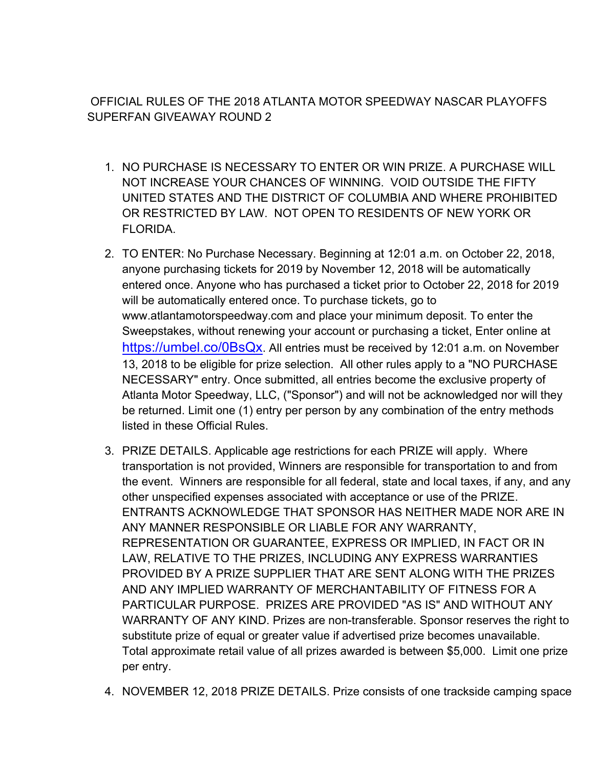OFFICIAL RULES OF THE 2018 ATLANTA MOTOR SPEEDWAY NASCAR PLAYOFFS SUPERFAN GIVEAWAY ROUND 2

- 1. NO PURCHASE IS NECESSARY TO ENTER OR WIN PRIZE. A PURCHASE WILL NOT INCREASE YOUR CHANCES OF WINNING. VOID OUTSIDE THE FIFTY UNITED STATES AND THE DISTRICT OF COLUMBIA AND WHERE PROHIBITED OR RESTRICTED BY LAW. NOT OPEN TO RESIDENTS OF NEW YORK OR FLORIDA.
- 2. TO ENTER: No Purchase Necessary. Beginning at 12:01 a.m. on October 22, 2018, anyone purchasing tickets for 2019 by November 12, 2018 will be automatically entered once. Anyone who has purchased a ticket prior to October 22, 2018 for 2019 will be automatically entered once. To purchase tickets, go to www.atlantamotorspeedway.com and place your minimum deposit. To enter the Sweepstakes, without renewing your account or purchasing a ticket, Enter online at https://umbel.co/0BsQx. All entries must be received by 12:01 a.m. on November 13, 2018 to be eligible for prize selection. All other rules apply to a "NO PURCHASE NECESSARY" entry. Once submitted, all entries become the exclusive property of Atlanta Motor Speedway, LLC, ("Sponsor") and will not be acknowledged nor will they be returned. Limit one (1) entry per person by any combination of the entry methods listed in these Official Rules.
- 3. PRIZE DETAILS. Applicable age restrictions for each PRIZE will apply. Where transportation is not provided, Winners are responsible for transportation to and from the event. Winners are responsible for all federal, state and local taxes, if any, and any other unspecified expenses associated with acceptance or use of the PRIZE. ENTRANTS ACKNOWLEDGE THAT SPONSOR HAS NEITHER MADE NOR ARE IN ANY MANNER RESPONSIBLE OR LIABLE FOR ANY WARRANTY, REPRESENTATION OR GUARANTEE, EXPRESS OR IMPLIED, IN FACT OR IN LAW, RELATIVE TO THE PRIZES, INCLUDING ANY EXPRESS WARRANTIES PROVIDED BY A PRIZE SUPPLIER THAT ARE SENT ALONG WITH THE PRIZES AND ANY IMPLIED WARRANTY OF MERCHANTABILITY OF FITNESS FOR A PARTICULAR PURPOSE. PRIZES ARE PROVIDED "AS IS" AND WITHOUT ANY WARRANTY OF ANY KIND. Prizes are non-transferable. Sponsor reserves the right to substitute prize of equal or greater value if advertised prize becomes unavailable. Total approximate retail value of all prizes awarded is between \$5,000. Limit one prize per entry.
- 4. NOVEMBER 12, 2018 PRIZE DETAILS. Prize consists of one trackside camping space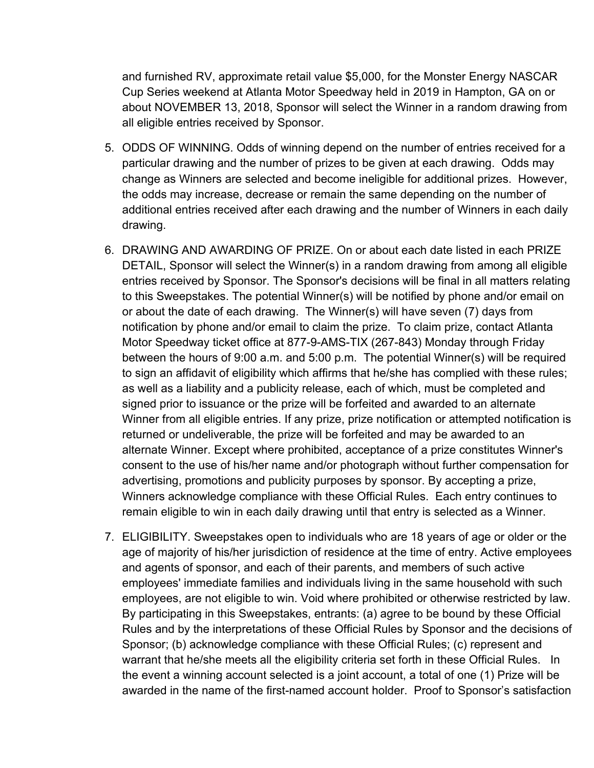and furnished RV, approximate retail value \$5,000, for the Monster Energy NASCAR Cup Series weekend at Atlanta Motor Speedway held in 2019 in Hampton, GA on or about NOVEMBER 13, 2018, Sponsor will select the Winner in a random drawing from all eligible entries received by Sponsor.

- 5. ODDS OF WINNING. Odds of winning depend on the number of entries received for a particular drawing and the number of prizes to be given at each drawing. Odds may change as Winners are selected and become ineligible for additional prizes. However, the odds may increase, decrease or remain the same depending on the number of additional entries received after each drawing and the number of Winners in each daily drawing.
- 6. DRAWING AND AWARDING OF PRIZE. On or about each date listed in each PRIZE DETAIL, Sponsor will select the Winner(s) in a random drawing from among all eligible entries received by Sponsor. The Sponsor's decisions will be final in all matters relating to this Sweepstakes. The potential Winner(s) will be notified by phone and/or email on or about the date of each drawing. The Winner(s) will have seven (7) days from notification by phone and/or email to claim the prize. To claim prize, contact Atlanta Motor Speedway ticket office at 877-9-AMS-TIX (267-843) Monday through Friday between the hours of 9:00 a.m. and 5:00 p.m. The potential Winner(s) will be required to sign an affidavit of eligibility which affirms that he/she has complied with these rules; as well as a liability and a publicity release, each of which, must be completed and signed prior to issuance or the prize will be forfeited and awarded to an alternate Winner from all eligible entries. If any prize, prize notification or attempted notification is returned or undeliverable, the prize will be forfeited and may be awarded to an alternate Winner. Except where prohibited, acceptance of a prize constitutes Winner's consent to the use of his/her name and/or photograph without further compensation for advertising, promotions and publicity purposes by sponsor. By accepting a prize, Winners acknowledge compliance with these Official Rules. Each entry continues to remain eligible to win in each daily drawing until that entry is selected as a Winner.
- 7. ELIGIBILITY. Sweepstakes open to individuals who are 18 years of age or older or the age of majority of his/her jurisdiction of residence at the time of entry. Active employees and agents of sponsor, and each of their parents, and members of such active employees' immediate families and individuals living in the same household with such employees, are not eligible to win. Void where prohibited or otherwise restricted by law. By participating in this Sweepstakes, entrants: (a) agree to be bound by these Official Rules and by the interpretations of these Official Rules by Sponsor and the decisions of Sponsor; (b) acknowledge compliance with these Official Rules; (c) represent and warrant that he/she meets all the eligibility criteria set forth in these Official Rules. In the event a winning account selected is a joint account, a total of one (1) Prize will be awarded in the name of the first-named account holder. Proof to Sponsor's satisfaction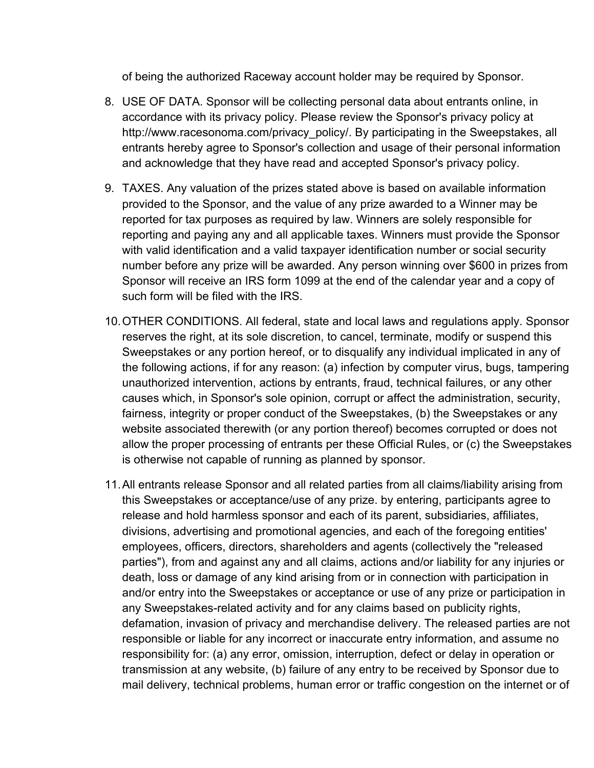of being the authorized Raceway account holder may be required by Sponsor.

- 8. USE OF DATA. Sponsor will be collecting personal data about entrants online, in accordance with its privacy policy. Please review the Sponsor's privacy policy at http://www.racesonoma.com/privacy policy/. By participating in the Sweepstakes, all entrants hereby agree to Sponsor's collection and usage of their personal information and acknowledge that they have read and accepted Sponsor's privacy policy.
- 9. TAXES. Any valuation of the prizes stated above is based on available information provided to the Sponsor, and the value of any prize awarded to a Winner may be reported for tax purposes as required by law. Winners are solely responsible for reporting and paying any and all applicable taxes. Winners must provide the Sponsor with valid identification and a valid taxpayer identification number or social security number before any prize will be awarded. Any person winning over \$600 in prizes from Sponsor will receive an IRS form 1099 at the end of the calendar year and a copy of such form will be filed with the IRS.
- 10.OTHER CONDITIONS. All federal, state and local laws and regulations apply. Sponsor reserves the right, at its sole discretion, to cancel, terminate, modify or suspend this Sweepstakes or any portion hereof, or to disqualify any individual implicated in any of the following actions, if for any reason: (a) infection by computer virus, bugs, tampering unauthorized intervention, actions by entrants, fraud, technical failures, or any other causes which, in Sponsor's sole opinion, corrupt or affect the administration, security, fairness, integrity or proper conduct of the Sweepstakes, (b) the Sweepstakes or any website associated therewith (or any portion thereof) becomes corrupted or does not allow the proper processing of entrants per these Official Rules, or (c) the Sweepstakes is otherwise not capable of running as planned by sponsor.
- 11.All entrants release Sponsor and all related parties from all claims/liability arising from this Sweepstakes or acceptance/use of any prize. by entering, participants agree to release and hold harmless sponsor and each of its parent, subsidiaries, affiliates, divisions, advertising and promotional agencies, and each of the foregoing entities' employees, officers, directors, shareholders and agents (collectively the "released parties"), from and against any and all claims, actions and/or liability for any injuries or death, loss or damage of any kind arising from or in connection with participation in and/or entry into the Sweepstakes or acceptance or use of any prize or participation in any Sweepstakes-related activity and for any claims based on publicity rights, defamation, invasion of privacy and merchandise delivery. The released parties are not responsible or liable for any incorrect or inaccurate entry information, and assume no responsibility for: (a) any error, omission, interruption, defect or delay in operation or transmission at any website, (b) failure of any entry to be received by Sponsor due to mail delivery, technical problems, human error or traffic congestion on the internet or of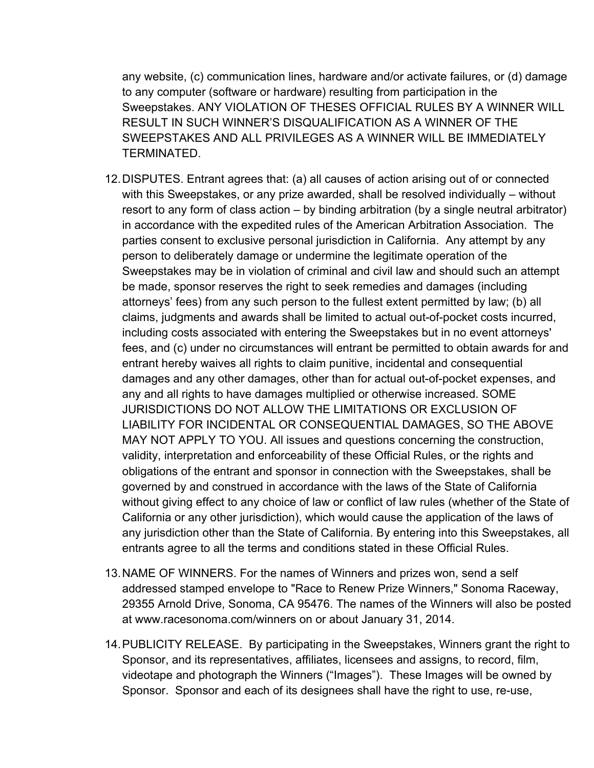any website, (c) communication lines, hardware and/or activate failures, or (d) damage to any computer (software or hardware) resulting from participation in the Sweepstakes. ANY VIOLATION OF THESES OFFICIAL RULES BY A WINNER WILL RESULT IN SUCH WINNER'S DISQUALIFICATION AS A WINNER OF THE SWEEPSTAKES AND ALL PRIVILEGES AS A WINNER WILL BE IMMEDIATELY TERMINATED.

- 12.DISPUTES. Entrant agrees that: (a) all causes of action arising out of or connected with this Sweepstakes, or any prize awarded, shall be resolved individually – without resort to any form of class action – by binding arbitration (by a single neutral arbitrator) in accordance with the expedited rules of the American Arbitration Association. The parties consent to exclusive personal jurisdiction in California. Any attempt by any person to deliberately damage or undermine the legitimate operation of the Sweepstakes may be in violation of criminal and civil law and should such an attempt be made, sponsor reserves the right to seek remedies and damages (including attorneys' fees) from any such person to the fullest extent permitted by law; (b) all claims, judgments and awards shall be limited to actual out-of-pocket costs incurred, including costs associated with entering the Sweepstakes but in no event attorneys' fees, and (c) under no circumstances will entrant be permitted to obtain awards for and entrant hereby waives all rights to claim punitive, incidental and consequential damages and any other damages, other than for actual out-of-pocket expenses, and any and all rights to have damages multiplied or otherwise increased. SOME JURISDICTIONS DO NOT ALLOW THE LIMITATIONS OR EXCLUSION OF LIABILITY FOR INCIDENTAL OR CONSEQUENTIAL DAMAGES, SO THE ABOVE MAY NOT APPLY TO YOU. All issues and questions concerning the construction, validity, interpretation and enforceability of these Official Rules, or the rights and obligations of the entrant and sponsor in connection with the Sweepstakes, shall be governed by and construed in accordance with the laws of the State of California without giving effect to any choice of law or conflict of law rules (whether of the State of California or any other jurisdiction), which would cause the application of the laws of any jurisdiction other than the State of California. By entering into this Sweepstakes, all entrants agree to all the terms and conditions stated in these Official Rules.
- 13.NAME OF WINNERS. For the names of Winners and prizes won, send a self addressed stamped envelope to "Race to Renew Prize Winners," Sonoma Raceway, 29355 Arnold Drive, Sonoma, CA 95476. The names of the Winners will also be posted at www.racesonoma.com/winners on or about January 31, 2014.
- 14.PUBLICITY RELEASE. By participating in the Sweepstakes, Winners grant the right to Sponsor, and its representatives, affiliates, licensees and assigns, to record, film, videotape and photograph the Winners ("Images"). These Images will be owned by Sponsor. Sponsor and each of its designees shall have the right to use, re-use,